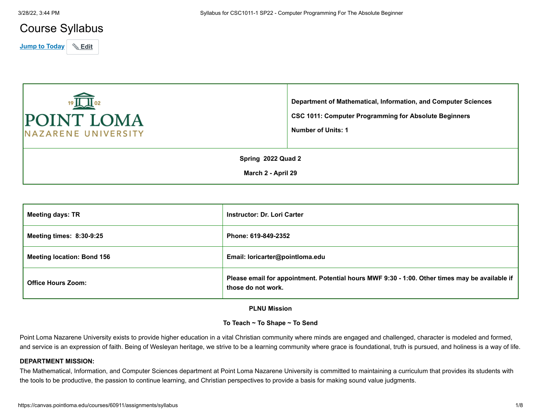# Course Syllabus

**Jump to Today & Edit** 

| 19 人— 02<br>POINT LOMA<br>NAZARENE UNIVERSITY | Department of Mathematical, Information, and Computer Sciences<br><b>CSC 1011: Computer Programming for Absolute Beginners</b><br>Number of Units: 1 |  |
|-----------------------------------------------|------------------------------------------------------------------------------------------------------------------------------------------------------|--|
| Spring 2022 Quad 2                            |                                                                                                                                                      |  |
| March 2 - April 29                            |                                                                                                                                                      |  |

| <b>Meeting days: TR</b>           | <b>Instructor: Dr. Lori Carter</b>                                                                                   |
|-----------------------------------|----------------------------------------------------------------------------------------------------------------------|
| <b>Meeting times: 8:30-9:25</b>   | Phone: 619-849-2352                                                                                                  |
| <b>Meeting location: Bond 156</b> | Email: loricarter@pointloma.edu                                                                                      |
| <b>Office Hours Zoom:</b>         | Please email for appointment. Potential hours MWF 9:30 - 1:00. Other times may be available if<br>those do not work. |

## **PLNU Mission**

## **To Teach ~ To Shape ~ To Send**

Point Loma Nazarene University exists to provide higher education in a vital Christian community where minds are engaged and challenged, character is modeled and formed, and service is an expression of faith. Being of Wesleyan heritage, we strive to be a learning community where grace is foundational, truth is pursued, and holiness is a way of life.

## **DEPARTMENT MISSION:**

The Mathematical, Information, and Computer Sciences department at Point Loma Nazarene University is committed to maintaining a curriculum that provides its students with the tools to be productive, the passion to continue learning, and Christian perspectives to provide a basis for making sound value judgments.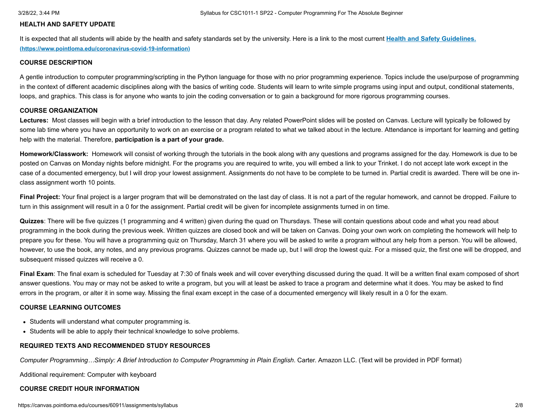## **HEALTH AND SAFETY UPDATE**

[It is expected that all students will abide by the health and safety standards set by the university. Here is a link to the most current](https://www.pointloma.edu/coronavirus-covid-19-information) **Health and Safety Guidelines. (https://www.pointloma.edu/coronavirus-covid-19-information)**

#### **COURSE DESCRIPTION**

A gentle introduction to computer programming/scripting in the Python language for those with no prior programming experience. Topics include the use/purpose of programming in the context of different academic disciplines along with the basics of writing code. Students will learn to write simple programs using input and output, conditional statements, loops, and graphics. This class is for anyone who wants to join the coding conversation or to gain a background for more rigorous programming courses.

#### **COURSE ORGANIZATION**

Lectures: Most classes will begin with a brief introduction to the lesson that day. Any related PowerPoint slides will be posted on Canvas. Lecture will typically be followed by some lab time where you have an opportunity to work on an exercise or a program related to what we talked about in the lecture. Attendance is important for learning and getting help with the material. Therefore, **participation is a part of your grade.**

**Homework/Classwork:** Homework will consist of working through the tutorials in the book along with any questions and programs assigned for the day. Homework is due to be posted on Canvas on Monday nights before midnight. For the programs you are required to write, you will embed a link to your Trinket. I do not accept late work except in the case of a documented emergency, but I will drop your lowest assignment. Assignments do not have to be complete to be turned in. Partial credit is awarded. There will be one inclass assignment worth 10 points.

**Final Project:** Your final project is a larger program that will be demonstrated on the last day of class. It is not a part of the regular homework, and cannot be dropped. Failure to turn in this assignment will result in a 0 for the assignment. Partial credit will be given for incomplete assignments turned in on time.

**Quizzes**: There will be five quizzes (1 programming and 4 written) given during the quad on Thursdays. These will contain questions about code and what you read about programming in the book during the previous week. Written quizzes are closed book and will be taken on Canvas. Doing your own work on completing the homework will help to prepare you for these. You will have a programming quiz on Thursday, March 31 where you will be asked to write a program without any help from a person. You will be allowed, however, to use the book, any notes, and any previous programs. Quizzes cannot be made up, but I will drop the lowest quiz. For a missed quiz, the first one will be dropped, and subsequent missed quizzes will receive a 0.

Final Exam: The final exam is scheduled for Tuesday at 7:30 of finals week and will cover everything discussed during the quad. It will be a written final exam composed of short answer questions. You may or may not be asked to write a program, but you will at least be asked to trace a program and determine what it does. You may be asked to find errors in the program, or alter it in some way. Missing the final exam except in the case of a documented emergency will likely result in a 0 for the exam.

## **COURSE LEARNING OUTCOMES**

- Students will understand what computer programming is.
- Students will be able to apply their technical knowledge to solve problems.

## **REQUIRED TEXTS AND RECOMMENDED STUDY RESOURCES**

*Computer Programming…Simply: A Brief Introduction to Computer Programming in Plain English*. Carter. Amazon LLC. (Text will be provided in PDF format)

Additional requirement: Computer with keyboard

## **COURSE CREDIT HOUR INFORMATION**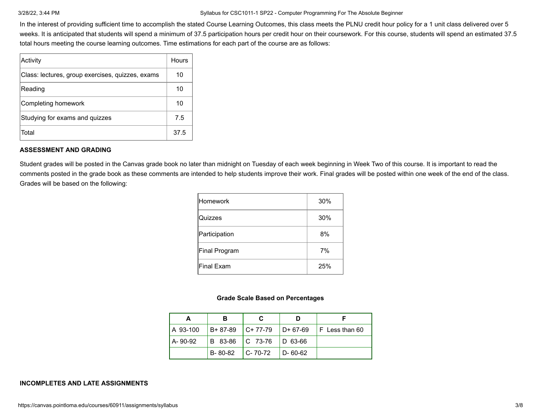In the interest of providing sufficient time to accomplish the stated Course Learning Outcomes, this class meets the PLNU credit hour policy for a 1 unit class delivered over 5 weeks. It is anticipated that students will spend a minimum of 37.5 participation hours per credit hour on their coursework. For this course, students will spend an estimated 37.5 total hours meeting the course learning outcomes. Time estimations for each part of the course are as follows:

| Activity                                         | Hours |
|--------------------------------------------------|-------|
| Class: lectures, group exercises, quizzes, exams | 10    |
| Reading                                          | 10    |
| Completing homework                              | 10    |
| Studying for exams and quizzes                   | 7.5   |
| Total                                            | 37.5  |

## **ASSESSMENT AND GRADING**

Student grades will be posted in the Canvas grade book no later than midnight on Tuesday of each week beginning in Week Two of this course. It is important to read the comments posted in the grade book as these comments are intended to help students improve their work. Final grades will be posted within one week of the end of the class. Grades will be based on the following:

| lHomework     | 30% |
|---------------|-----|
| Quizzes       | 30% |
| Participation | 8%  |
| Final Program | 7%  |
| Final Exam    | 25% |

## **Grade Scale Based on Percentages**

| LA 93-100 |                     |                             |                     | $ B+87-89 $ C+77-79 $ D+67-69 $ F Less than 60 |
|-----------|---------------------|-----------------------------|---------------------|------------------------------------------------|
| I A-90-92 |                     | B 83-86   C 73-76   D 63-66 |                     |                                                |
|           | $B-80-82$ $C-70-72$ |                             | $\mathsf{D}$ -60-62 |                                                |

## **INCOMPLETES AND LATE ASSIGNMENTS**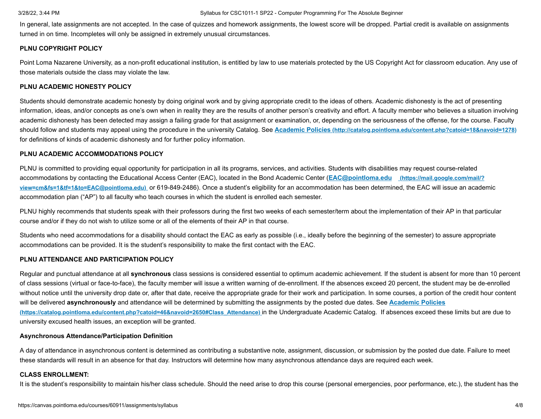In general, late assignments are not accepted. In the case of quizzes and homework assignments, the lowest score will be dropped. Partial credit is available on assignments turned in on time. Incompletes will only be assigned in extremely unusual circumstances.

## **PLNU COPYRIGHT POLICY**

Point Loma Nazarene University, as a non-profit educational institution, is entitled by law to use materials protected by the US Copyright Act for classroom education. Any use of those materials outside the class may violate the law.

## **PLNU ACADEMIC HONESTY POLICY**

Students should demonstrate academic honesty by doing original work and by giving appropriate credit to the ideas of others. Academic dishonesty is the act of presenting information, ideas, and/or concepts as one's own when in reality they are the results of another person's creativity and effort. A faculty member who believes a situation involving academic dishonesty has been detected may assign a failing grade for that assignment or examination, or, depending on the seriousness of the offense, for the course. Faculty should follow and students may appeal using the procedure in the university Catalog. See **Academic Policies [\(http://catalog.pointloma.edu/content.php?catoid=18&navoid=1278\)](http://catalog.pointloma.edu/content.php?catoid=18&navoid=1278)** for definitions of kinds of academic dishonesty and for further policy information.

## **PLNU ACADEMIC ACCOMMODATIONS POLICY**

PLNU is committed to providing equal opportunity for participation in all its programs, services, and activities. Students with disabilities may request course-related accommodations by contacting the Educational Access Center (EAC), located in the Bond Academic Center (**EAC@pointloma.edu (https://mail.google.com/mail/? view=cm&fs=1&tf=1&to=EAC@pointloma.edu)** [or 619-849-2486\). Once a student's eligibility for an accommodation has been determined, the EAC will issue an acade](https://mail.google.com/mail/?view=cm&fs=1&tf=1&to=EAC@pointloma.edu)mic accommodation plan ("AP") to all faculty who teach courses in which the student is enrolled each semester.

PLNU highly recommends that students speak with their professors during the first two weeks of each semester/term about the implementation of their AP in that particular course and/or if they do not wish to utilize some or all of the elements of their AP in that course.

Students who need accommodations for a disability should contact the EAC as early as possible (i.e., ideally before the beginning of the semester) to assure appropriate accommodations can be provided. It is the student's responsibility to make the first contact with the EAC.

## **PLNU ATTENDANCE AND PARTICIPATION POLICY**

Regular and punctual attendance at all **synchronous** class sessions is considered essential to optimum academic achievement. If the student is absent for more than 10 percent of class sessions (virtual or face-to-face), the faculty member will issue a written warning of de-enrollment. If the absences exceed 20 percent, the student may be de-enrolled without notice until the university drop date or, after that date, receive the appropriate grade for their work and participation. In some courses, a portion of the credit hour content will be delivered **asynchronously** [and attendance will be determined by submitting the assignments by the posted due dates. See](https://catalog.pointloma.edu/content.php?catoid=46&navoid=2650#Class_Attendance) **Academic Policies (https://catalog.pointloma.edu/content.php?catoid=46&navoid=2650#Class\_Attendance)** in the Undergraduate Academic Catalog. If absences exceed these limits but are due to university excused health issues, an exception will be granted.

## **Asynchronous Attendance/Participation Definition**

A day of attendance in asynchronous content is determined as contributing a substantive note, assignment, discussion, or submission by the posted due date. Failure to meet these standards will result in an absence for that day. Instructors will determine how many asynchronous attendance days are required each week.

## **CLASS ENROLLMENT:**

It is the student's responsibility to maintain his/her class schedule. Should the need arise to drop this course (personal emergencies, poor performance, etc.), the student has the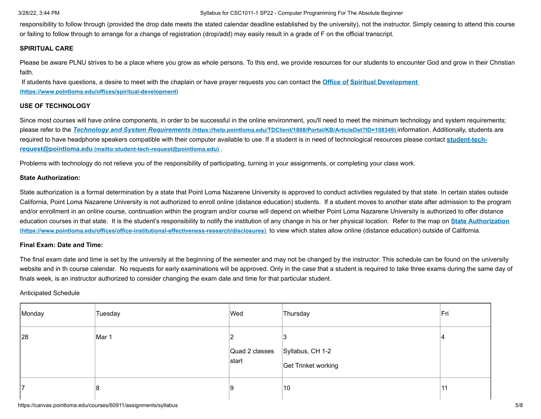responsibility to follow through (provided the drop date meets the stated calendar deadline established by the university), not the instructor. Simply ceasing to attend this course or failing to follow through to arrange for a change of registration (drop/add) may easily result in a grade of F on the official transcript.

## **SPIRITUAL CARE**

Please be aware PLNU strives to be a place where you grow as whole persons. To this end, we provide resources for our students to encounter God and grow in their Christian faith.

[If students have questions, a desire to meet with the chaplain or have prayer requests you can contact the](https://www.pointloma.edu/offices/spiritual-development) **Office of Spiritual Development (https://www.pointloma.edu/offices/spiritual-development)**

## **USE OF TECHNOLOGY**

Since most courses will have online components, in order to be successful in the online environment, you'll need to meet the minimum technology and system requirements; please refer to the *Technology and System Requirements* **[\(https://help.pointloma.edu/TDClient/1808/Portal/KB/ArticleDet?ID=108349\)](https://help.pointloma.edu/TDClient/1808/Portal/KB/ArticleDet?ID=108349)** information. Additionally, students are [required to have headphone speakers compatible with their computer available to use. If a student is in need of technological resources please contact](mailto:student-tech-request@pointloma.edu) **student-techrequest@pointloma.edu (mailto:student-tech-request@pointloma.edu)** .

Problems with technology do not relieve you of the responsibility of participating, turning in your assignments, or completing your class work.

## **State Authorization:**

State authorization is a formal determination by a state that Point Loma Nazarene University is approved to conduct activities regulated by that state. In certain states outside California, Point Loma Nazarene University is not authorized to enroll online (distance education) students. If a student moves to another state after admission to the program and/or enrollment in an online course, continuation within the program and/or course will depend on whether Point Loma Nazarene University is authorized to offer distance [education courses in that state. It is the student's responsibility to notify the institution of any change in his or her physical location.](https://www.pointloma.edu/offices/office-institutional-effectiveness-research/disclosures) Refer to the map on **State Authorization (https://www.pointloma.edu/offices/office-institutional-effectiveness-research/disclosures)** to view which states allow online (distance education) outside of California.

## **Final Exam: Date and Time:**

The final exam date and time is set by the university at the beginning of the semester and may not be changed by the instructor. This schedule can be found on the university website and in th course calendar. No requests for early examinations will be approved. Only in the case that a student is required to take three exams during the same day of finals week, is an instructor authorized to consider changing the exam date and time for that particular student.

## Anticipated Schedule

|    | Monday | Tuesday | Wed                                                      | Thursday            | ∣Fri |
|----|--------|---------|----------------------------------------------------------|---------------------|------|
|    | 28     | Mar 1   | $\vert$ Quad 2 classes $\vert$ Syllabus, CH 1-2<br>start | Get Trinket working |      |
| 17 |        | 8       | ΙQ                                                       | $ 10\rangle$        | 11   |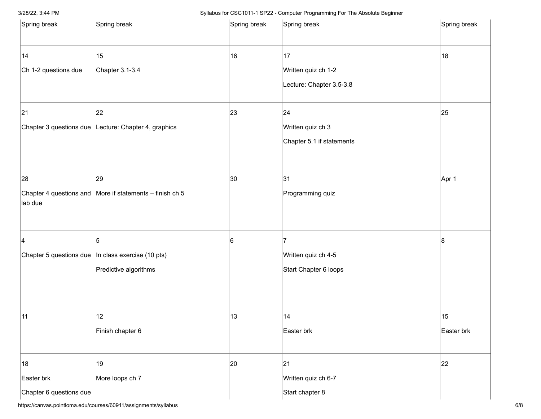| Spring break                                | Spring break                                                                       | Spring break | Spring break                                                   | Spring break     |
|---------------------------------------------|------------------------------------------------------------------------------------|--------------|----------------------------------------------------------------|------------------|
| 14<br>Ch 1-2 questions due                  | 15<br>Chapter 3.1-3.4                                                              | 16           | 17<br>Written quiz ch 1-2<br>Lecture: Chapter 3.5-3.8          | 18               |
| 21                                          | 22<br>Chapter 3 questions due Lecture: Chapter 4, graphics                         | 23           | $ 24\rangle$<br>Written quiz ch 3<br>Chapter 5.1 if statements | 25               |
| 28<br>lab due                               | 29<br>Chapter 4 questions and More if statements $-$ finish ch 5                   | 30           | 31<br>Programming quiz                                         | Apr 1            |
| 4                                           | 5<br>Chapter 5 questions due   In class exercise (10 pts)<br>Predictive algorithms | 6            | 7<br>Written quiz ch 4-5<br>Start Chapter 6 loops              | 8                |
| 11                                          | 12<br>Finish chapter 6                                                             | 13           | 14 <br>Easter brk                                              | 15<br>Easter brk |
| 18<br>Easter brk<br>Chapter 6 questions due | 19<br>More loops ch 7                                                              | 20           | 21<br>Written quiz ch 6-7<br>Start chapter 8                   | 22               |

https://canvas.pointloma.edu/courses/60911/assignments/syllabus 6/8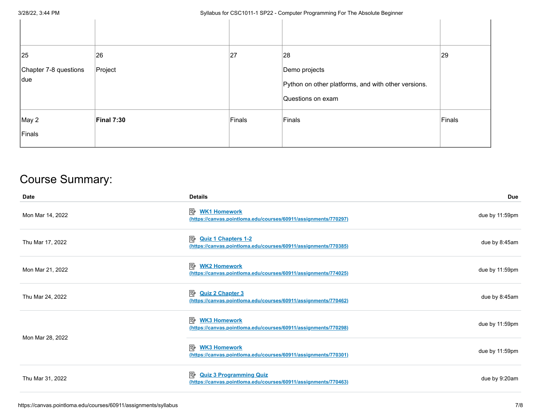| 25                    | 26         | 27     | 28                                                  | 29     |
|-----------------------|------------|--------|-----------------------------------------------------|--------|
| Chapter 7-8 questions | Project    |        | Demo projects                                       |        |
| due                   |            |        | Python on other platforms, and with other versions. |        |
|                       |            |        | Questions on exam                                   |        |
| May 2                 | Final 7:30 | Finals | Finals                                              | Finals |
| Finals                |            |        |                                                     |        |

# Course Summary:

| <b>Date</b>      | <b>Details</b>                                                                                         | <b>Due</b>     |
|------------------|--------------------------------------------------------------------------------------------------------|----------------|
| Mon Mar 14, 2022 | <b>WK1 Homework</b><br>駗<br>(https://canvas.pointloma.edu/courses/60911/assignments/770297)            | due by 11:59pm |
| Thu Mar 17, 2022 | 國<br><b>Quiz 1 Chapters 1-2</b><br>(https://canvas.pointloma.edu/courses/60911/assignments/770385)     | due by 8:45am  |
| Mon Mar 21, 2022 | 國<br><b>WK2 Homework</b><br>(https://canvas.pointloma.edu/courses/60911/assignments/774025)            | due by 11:59pm |
| Thu Mar 24, 2022 | 國<br><b>Quiz 2 Chapter 3</b><br>(https://canvas.pointloma.edu/courses/60911/assignments/770462)        | due by 8:45am  |
|                  | <b>A WK3 Homework</b><br>(https://canvas.pointloma.edu/courses/60911/assignments/770298)               | due by 11:59pm |
| Mon Mar 28, 2022 | 國<br><b>WK3 Homework</b><br>(https://canvas.pointloma.edu/courses/60911/assignments/770301)            | due by 11:59pm |
| Thu Mar 31, 2022 | 國<br><b>Quiz 3 Programming Quiz</b><br>(https://canvas.pointloma.edu/courses/60911/assignments/770463) | due by 9:20am  |